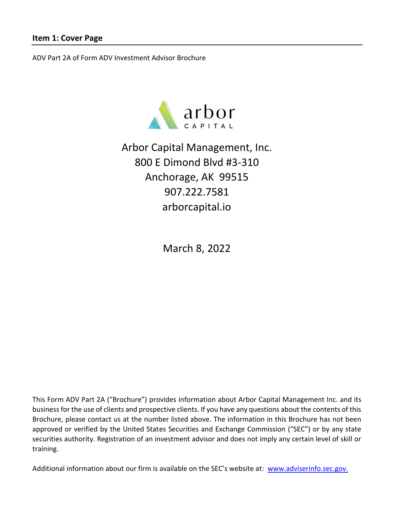<span id="page-0-0"></span>ADV Part 2A of Form ADV Investment Advisor Brochure



Arbor Capital Management, Inc. 800 E Dimond Blvd #3-310 Anchorage, AK 99515 907.222.7581 [arborcapital.io](https://arborcapital.io/)

March 8, 2022

This Form ADV Part 2A ("Brochure") provides information about Arbor Capital Management Inc. and its business for the use of clients and prospective clients. If you have any questions about the contents of this Brochure, please contact us at the number listed above. The information in this Brochure has not been approved or verified by the United States Securities and Exchange Commission ("SEC") or by any state securities authority. Registration of an investment advisor and does not imply any certain level of skill or training.

Additional information about our firm is available on the SEC's website at: [www.adviserinfo.sec.gov.](http://www.adviserinfo.sec.gov/)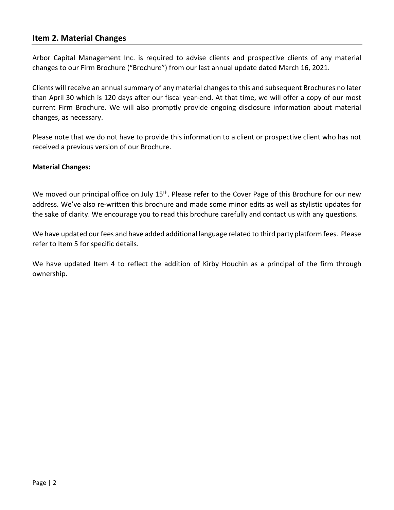### <span id="page-1-0"></span>**Item 2. Material Changes**

Arbor Capital Management Inc. is required to advise clients and prospective clients of any material changes to our Firm Brochure ("Brochure") from our last annual update dated March 16, 2021.

Clients will receive an annual summary of any material changes to this and subsequent Brochures no later than April 30 which is 120 days after our fiscal year-end. At that time, we will offer a copy of our most current Firm Brochure. We will also promptly provide ongoing disclosure information about material changes, as necessary.

Please note that we do not have to provide this information to a client or prospective client who has not received a previous version of our Brochure.

#### **Material Changes:**

We moved our principal office on July 15<sup>th</sup>. Please refer to the Cover Page of this Brochure for our new address. We've also re-written this brochure and made some minor edits as well as stylistic updates for the sake of clarity. We encourage you to read this brochure carefully and contact us with any questions.

We have updated our fees and have added additional language related to third party platform fees. Please refer to Item 5 for specific details.

We have updated Item 4 to reflect the addition of Kirby Houchin as a principal of the firm through ownership.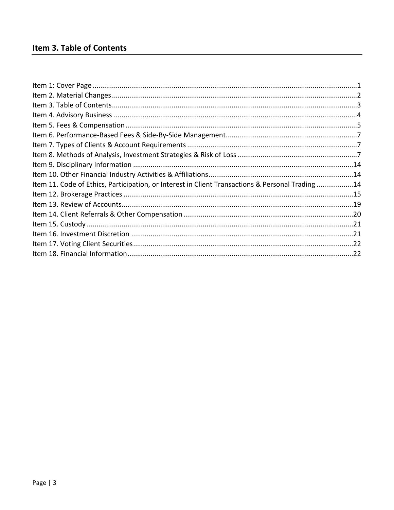<span id="page-2-0"></span>

| Item 11. Code of Ethics, Participation, or Interest in Client Transactions & Personal Trading14 |  |
|-------------------------------------------------------------------------------------------------|--|
|                                                                                                 |  |
|                                                                                                 |  |
|                                                                                                 |  |
|                                                                                                 |  |
|                                                                                                 |  |
|                                                                                                 |  |
|                                                                                                 |  |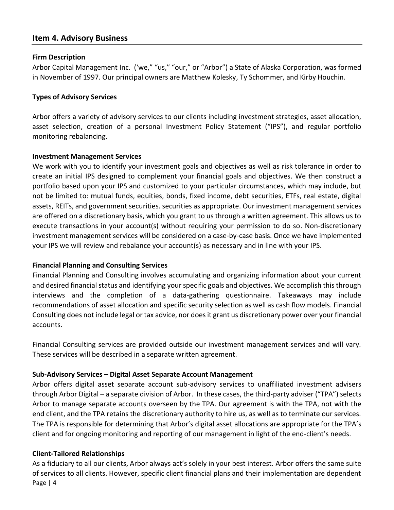### <span id="page-3-0"></span>**Item 4. Advisory Business**

#### **Firm Description**

Arbor Capital Management Inc. ('we," "us," "our," or "Arbor") a State of Alaska Corporation, was formed in November of 1997. Our principal owners are Matthew Kolesky, Ty Schommer, and Kirby Houchin.

#### **Types of Advisory Services**

Arbor offers a variety of advisory services to our clients including investment strategies, asset allocation, asset selection, creation of a personal Investment Policy Statement ("IPS"), and regular portfolio monitoring rebalancing.

#### **Investment Management Services**

We work with you to identify your investment goals and objectives as well as risk tolerance in order to create an initial IPS designed to complement your financial goals and objectives. We then construct a portfolio based upon your IPS and customized to your particular circumstances, which may include, but not be limited to: mutual funds, equities, bonds, fixed income, debt securities, ETFs, real estate, digital assets, REITs, and government securities. securities as appropriate. Our investment management services are offered on a discretionary basis, which you grant to us through a written agreement. This allows us to execute transactions in your account(s) without requiring your permission to do so. Non-discretionary investment management services will be considered on a case-by-case basis. Once we have implemented your IPS we will review and rebalance your account(s) as necessary and in line with your IPS.

### **Financial Planning and Consulting Services**

Financial Planning and Consulting involves accumulating and organizing information about your current and desired financial status and identifying your specific goals and objectives. We accomplish this through interviews and the completion of a data-gathering questionnaire. Takeaways may include recommendations of asset allocation and specific security selection as well as cash flow models. Financial Consulting does not include legal or tax advice, nor does it grant us discretionary power over your financial accounts.

Financial Consulting services are provided outside our investment management services and will vary. These services will be described in a separate written agreement.

### **Sub-Advisory Services – Digital Asset Separate Account Management**

Arbor offers digital asset separate account sub-advisory services to unaffiliated investment advisers through Arbor Digital – a separate division of Arbor. In these cases, the third-party adviser ("TPA") selects Arbor to manage separate accounts overseen by the TPA. Our agreement is with the TPA, not with the end client, and the TPA retains the discretionary authority to hire us, as well as to terminate our services. The TPA is responsible for determining that Arbor's digital asset allocations are appropriate for the TPA's client and for ongoing monitoring and reporting of our management in light of the end-client's needs.

### **Client-Tailored Relationships**

Page | 4 As a fiduciary to all our clients, Arbor always act's solely in your best interest. Arbor offers the same suite of services to all clients. However, specific client financial plans and their implementation are dependent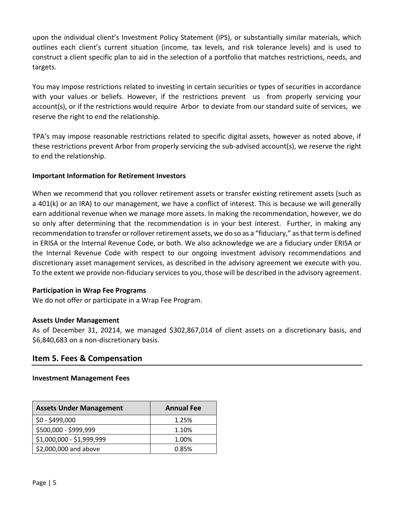upon the individual client's Investment Policy Statement (IPS), or substantially similar materials, which outlines each client's current situation (income, tax levels, and risk tolerance levels) and is used to construct a client specific plan to aid in the selection of a portfolio that matches restrictions, needs, and targets.

You may impose restrictions related to investing in certain securities or types of securities in accordance with your values or beliefs. However, if the restrictions prevent us from properly servicing your account(s), or if the restrictions would require Arbor to deviate from our standard suite of services, we reserve the right to end the relationship.

TPA's may impose reasonable restrictions related to specific digital assets, however as noted above, if these restrictions prevent Arbor from properly servicing the sub-advised account(s), we reserve the right to end the relationship.

#### **Important Information for Retirement Investors**

When we recommend that you rollover retirement assets or transfer existing retirement assets (such as a 401(k) or an IRA) to our management, we have a conflict of interest. This is because we will generally earn additional revenue when we manage more assets. In making the recommendation, however, we do so only after determining that the recommendation is in your best interest. Further, in making any recommendation to transfer or rollover retirement assets, we do so as a "fiduciary," as that term is defined in ERISA or the Internal Revenue Code, or both. We also acknowledge we are a fiduciary under ERISA or the Internal Revenue Code with respect to our ongoing investment advisory recommendations and discretionary asset management services, as described in the advisory agreement we execute with you. To the extent we provide non-fiduciary services to you, those will be described in the advisory agreement.

### **Participation in Wrap Fee Programs**

We do not offer or participate in a Wrap Fee Program.

#### **Assets Under Management**

As of December 31, 20214, we managed \$302,867,014 of client assets on a discretionary basis, and \$6,840,683 on a non-discretionary basis.

## <span id="page-4-0"></span>**Item 5. Fees & Compensation**

#### **Investment Management Fees**

| <b>Assets Under Management</b> | <b>Annual Fee</b> |
|--------------------------------|-------------------|
| $$0 - $499,000$                | 1.25%             |
| \$500,000 - \$999,999          | 1.10%             |
| \$1,000,000 - \$1,999,999      | 1.00%             |
| \$2,000,000 and above          | 0.85%             |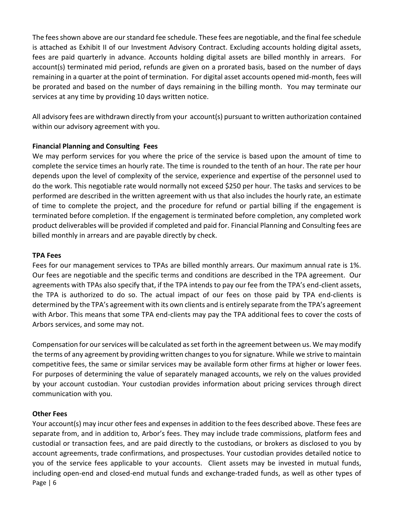The fees shown above are our standard fee schedule. These fees are negotiable, and the final fee schedule is attached as Exhibit II of our Investment Advisory Contract. Excluding accounts holding digital assets, fees are paid quarterly in advance. Accounts holding digital assets are billed monthly in arrears. For account(s) terminated mid period, refunds are given on a prorated basis, based on the number of days remaining in a quarter at the point of termination. For digital asset accounts opened mid-month, fees will be prorated and based on the number of days remaining in the billing month. You may terminate our services at any time by providing 10 days written notice.

All advisory fees are withdrawn directly from your account(s) pursuant to written authorization contained within our advisory agreement with you.

#### **Financial Planning and Consulting Fees**

We may perform services for you where the price of the service is based upon the amount of time to complete the service times an hourly rate. The time is rounded to the tenth of an hour. The rate per hour depends upon the level of complexity of the service, experience and expertise of the personnel used to do the work. This negotiable rate would normally not exceed \$250 per hour. The tasks and services to be performed are described in the written agreement with us that also includes the hourly rate, an estimate of time to complete the project, and the procedure for refund or partial billing if the engagement is terminated before completion. If the engagement is terminated before completion, any completed work product deliverables will be provided if completed and paid for. Financial Planning and Consulting fees are billed monthly in arrears and are payable directly by check.

#### **TPA Fees**

Fees for our management services to TPAs are billed monthly arrears. Our maximum annual rate is 1%. Our fees are negotiable and the specific terms and conditions are described in the TPA agreement. Our agreements with TPAs also specify that, if the TPA intends to pay our fee from the TPA's end-client assets, the TPA is authorized to do so. The actual impact of our fees on those paid by TPA end-clients is determined by the TPA's agreement with its own clients and is entirely separate from the TPA's agreement with Arbor. This means that some TPA end-clients may pay the TPA additional fees to cover the costs of Arbors services, and some may not.

Compensation for our services will be calculated as set forth in the agreement between us. We may modify the terms of any agreement by providing written changes to you for signature. While we strive to maintain competitive fees, the same or similar services may be available form other firms at higher or lower fees. For purposes of determining the value of separately managed accounts, we rely on the values provided by your account custodian. Your custodian provides information about pricing services through direct communication with you.

### **Other Fees**

Page | 6 Your account(s) may incur other fees and expenses in addition to the fees described above. These fees are separate from, and in addition to, Arbor's fees. They may include trade commissions, platform fees and custodial or transaction fees, and are paid directly to the custodians, or brokers as disclosed to you by account agreements, trade confirmations, and prospectuses. Your custodian provides detailed notice to you of the service fees applicable to your accounts. Client assets may be invested in mutual funds, including open-end and closed-end mutual funds and exchange-traded funds, as well as other types of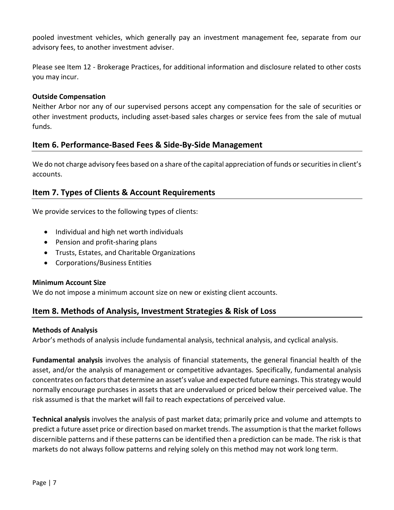pooled investment vehicles, which generally pay an investment management fee, separate from our advisory fees, to another investment adviser.

Please see Item 12 - Brokerage Practices, for additional information and disclosure related to other costs you may incur.

#### **Outside Compensation**

Neither Arbor nor any of our supervised persons accept any compensation for the sale of securities or other investment products, including asset-based sales charges or service fees from the sale of mutual funds.

## <span id="page-6-0"></span>**Item 6. Performance-Based Fees & Side-By-Side Management**

We do not charge advisory fees based on a share of the capital appreciation of funds or securities in client's accounts.

## <span id="page-6-1"></span>**Item 7. Types of Clients & Account Requirements**

We provide services to the following types of clients:

- Individual and high net worth individuals
- Pension and profit-sharing plans
- Trusts, Estates, and Charitable Organizations
- Corporations/Business Entities

#### **Minimum Account Size**

We do not impose a minimum account size on new or existing client accounts.

# <span id="page-6-2"></span>**Item 8. Methods of Analysis, Investment Strategies & Risk of Loss**

#### **Methods of Analysis**

Arbor's methods of analysis include fundamental analysis, technical analysis, and cyclical analysis.

**Fundamental analysis** involves the analysis of financial statements, the general financial health of the asset, and/or the analysis of management or competitive advantages. Specifically, fundamental analysis concentrates on factors that determine an asset's value and expected future earnings. This strategy would normally encourage purchases in assets that are undervalued or priced below their perceived value. The risk assumed is that the market will fail to reach expectations of perceived value.

**Technical analysis** involves the analysis of past market data; primarily price and volume and attempts to predict a future asset price or direction based on market trends. The assumption is that the market follows discernible patterns and if these patterns can be identified then a prediction can be made. The risk is that markets do not always follow patterns and relying solely on this method may not work long term.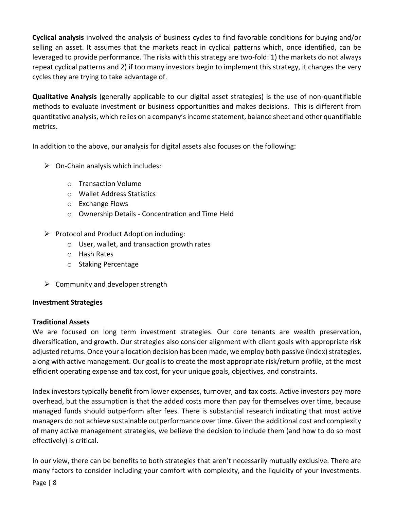**Cyclical analysis** involved the analysis of business cycles to find favorable conditions for buying and/or selling an asset. It assumes that the markets react in cyclical patterns which, once identified, can be leveraged to provide performance. The risks with this strategy are two-fold: 1) the markets do not always repeat cyclical patterns and 2) if too many investors begin to implement this strategy, it changes the very cycles they are trying to take advantage of.

**Qualitative Analysis** (generally applicable to our digital asset strategies) is the use of non-quantifiable methods to evaluate investment or business opportunities and makes decisions. This is different from quantitative analysis, which relies on a company's income statement, balance sheet and other quantifiable metrics.

In addition to the above, our analysis for digital assets also focuses on the following:

- $\triangleright$  On-Chain analysis which includes:
	- o Transaction Volume
	- o Wallet Address Statistics
	- o Exchange Flows
	- o Ownership Details Concentration and Time Held
- $\triangleright$  Protocol and Product Adoption including:
	- o User, wallet, and transaction growth rates
	- o Hash Rates
	- o Staking Percentage
- $\triangleright$  Community and developer strength

### **Investment Strategies**

### **Traditional Assets**

We are focused on long term investment strategies. Our core tenants are wealth preservation, diversification, and growth. Our strategies also consider alignment with client goals with appropriate risk adjusted returns. Once your allocation decision has been made, we employ both passive (index) strategies, along with active management. Our goal is to create the most appropriate risk/return profile, at the most efficient operating expense and tax cost, for your unique goals, objectives, and constraints.

Index investors typically benefit from lower expenses, turnover, and tax costs. Active investors pay more overhead, but the assumption is that the added costs more than pay for themselves over time, because managed funds should outperform after fees. There is substantial research indicating that most active managers do not achieve sustainable outperformance over time. Given the additional cost and complexity of many active management strategies, we believe the decision to include them (and how to do so most effectively) is critical.

In our view, there can be benefits to both strategies that aren't necessarily mutually exclusive. There are many factors to consider including your comfort with complexity, and the liquidity of your investments.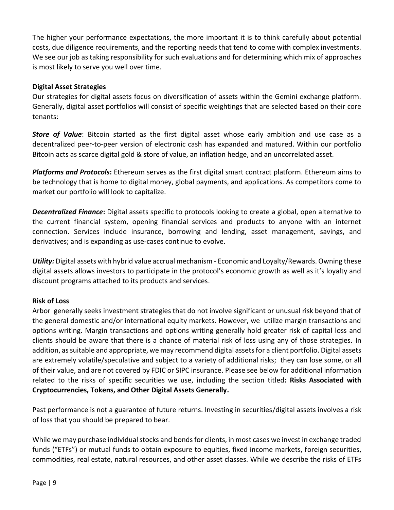The higher your performance expectations, the more important it is to think carefully about potential costs, due diligence requirements, and the reporting needs that tend to come with complex investments. We see our job as taking responsibility for such evaluations and for determining which mix of approaches is most likely to serve you well over time.

#### **Digital Asset Strategies**

Our strategies for digital assets focus on diversification of assets within the Gemini exchange platform. Generally, digital asset portfolios will consist of specific weightings that are selected based on their core tenants:

*Store of Value*: Bitcoin started as the first digital asset whose early ambition and use case as a decentralized peer-to-peer version of electronic cash has expanded and matured. Within our portfolio Bitcoin acts as scarce digital gold & store of value, an inflation hedge, and an uncorrelated asset.

*Platforms and Protocols***:** Ethereum serves as the first digital smart contract platform. Ethereum aims to be technology that is home to digital money, global payments, and applications. As competitors come to market our portfolio will look to capitalize.

*Decentralized Finance***:** Digital assets specific to protocols looking to create a global, open alternative to the current financial system, opening financial services and products to anyone with an internet connection. Services include insurance, borrowing and lending, asset management, savings, and derivatives; and is expanding as use-cases continue to evolve.

*Utility:* Digital assets with hybrid value accrual mechanism - Economic and Loyalty/Rewards. Owning these digital assets allows investors to participate in the protocol's economic growth as well as it's loyalty and discount programs attached to its products and services.

### **Risk of Loss**

Arbor generally seeks investment strategies that do not involve significant or unusual risk beyond that of the general domestic and/or international equity markets. However, we utilize margin transactions and options writing. Margin transactions and options writing generally hold greater risk of capital loss and clients should be aware that there is a chance of material risk of loss using any of those strategies. In addition, as suitable and appropriate, we may recommend digital assets for a client portfolio. Digital assets are extremely volatile/speculative and subject to a variety of additional risks; they can lose some, or all of their value, and are not covered by FDIC or SIPC insurance. Please see below for additional information related to the risks of specific securities we use, including the section titled**: Risks Associated with Cryptocurrencies, Tokens, and Other Digital Assets Generally.**

Past performance is not a guarantee of future returns. Investing in securities/digital assets involves a risk of loss that you should be prepared to bear.

While we may purchase individual stocks and bonds for clients, in most cases we invest in exchange traded funds ("ETFs") or mutual funds to obtain exposure to equities, fixed income markets, foreign securities, commodities, real estate, natural resources, and other asset classes. While we describe the risks of ETFs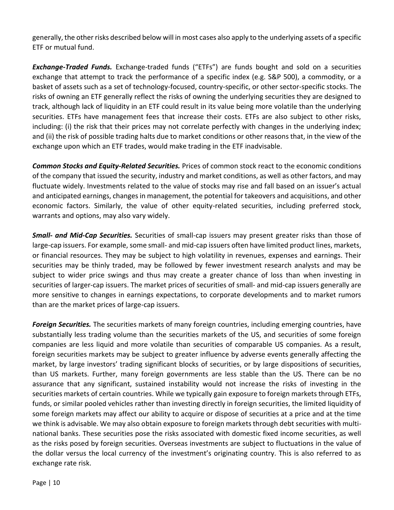generally, the other risks described below will in most cases also apply to the underlying assets of a specific ETF or mutual fund.

*Exchange-Traded Funds.* Exchange-traded funds ("ETFs") are funds bought and sold on a securities exchange that attempt to track the performance of a specific index (e.g. S&P 500), a commodity, or a basket of assets such as a set of technology-focused, country-specific, or other sector-specific stocks. The risks of owning an ETF generally reflect the risks of owning the underlying securities they are designed to track, although lack of liquidity in an ETF could result in its value being more volatile than the underlying securities. ETFs have management fees that increase their costs. ETFs are also subject to other risks, including: (i) the risk that their prices may not correlate perfectly with changes in the underlying index; and (ii) the risk of possible trading halts due to market conditions or other reasons that, in the view of the exchange upon which an ETF trades, would make trading in the ETF inadvisable.

*Common Stocks and Equity-Related Securities.* Prices of common stock react to the economic conditions of the company that issued the security, industry and market conditions, as well as other factors, and may fluctuate widely. Investments related to the value of stocks may rise and fall based on an issuer's actual and anticipated earnings, changes in management, the potential for takeovers and acquisitions, and other economic factors. Similarly, the value of other equity-related securities, including preferred stock, warrants and options, may also vary widely.

*Small- and Mid-Cap Securities.* Securities of small-cap issuers may present greater risks than those of large-cap issuers. For example, some small- and mid-cap issuers often have limited product lines, markets, or financial resources. They may be subject to high volatility in revenues, expenses and earnings. Their securities may be thinly traded, may be followed by fewer investment research analysts and may be subject to wider price swings and thus may create a greater chance of loss than when investing in securities of larger-cap issuers. The market prices of securities of small- and mid-cap issuers generally are more sensitive to changes in earnings expectations, to corporate developments and to market rumors than are the market prices of large-cap issuers.

*Foreign Securities.* The securities markets of many foreign countries, including emerging countries, have substantially less trading volume than the securities markets of the US, and securities of some foreign companies are less liquid and more volatile than securities of comparable US companies. As a result, foreign securities markets may be subject to greater influence by adverse events generally affecting the market, by large investors' trading significant blocks of securities, or by large dispositions of securities, than US markets. Further, many foreign governments are less stable than the US. There can be no assurance that any significant, sustained instability would not increase the risks of investing in the securities markets of certain countries. While we typically gain exposure to foreign markets through ETFs, funds, or similar pooled vehicles rather than investing directly in foreign securities, the limited liquidity of some foreign markets may affect our ability to acquire or dispose of securities at a price and at the time we think is advisable. We may also obtain exposure to foreign markets through debt securities with multinational banks. These securities pose the risks associated with domestic fixed income securities, as well as the risks posed by foreign securities. Overseas investments are subject to fluctuations in the value of the dollar versus the local currency of the investment's originating country. This is also referred to as exchange rate risk.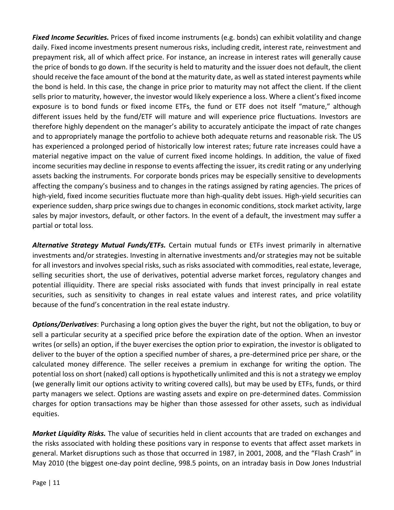*Fixed Income Securities.* Prices of fixed income instruments (e.g. bonds) can exhibit volatility and change daily. Fixed income investments present numerous risks, including credit, interest rate, reinvestment and prepayment risk, all of which affect price. For instance, an increase in interest rates will generally cause the price of bonds to go down. If the security is held to maturity and the issuer does not default, the client should receive the face amount of the bond at the maturity date, as well as stated interest payments while the bond is held. In this case, the change in price prior to maturity may not affect the client. If the client sells prior to maturity, however, the investor would likely experience a loss. Where a client's fixed income exposure is to bond funds or fixed income ETFs, the fund or ETF does not itself "mature," although different issues held by the fund/ETF will mature and will experience price fluctuations. Investors are therefore highly dependent on the manager's ability to accurately anticipate the impact of rate changes and to appropriately manage the portfolio to achieve both adequate returns and reasonable risk. The US has experienced a prolonged period of historically low interest rates; future rate increases could have a material negative impact on the value of current fixed income holdings. In addition, the value of fixed income securities may decline in response to events affecting the issuer, its credit rating or any underlying assets backing the instruments. For corporate bonds prices may be especially sensitive to developments affecting the company's business and to changes in the ratings assigned by rating agencies. The prices of high-yield, fixed income securities fluctuate more than high-quality debt issues. High-yield securities can experience sudden, sharp price swings due to changes in economic conditions, stock market activity, large sales by major investors, default, or other factors. In the event of a default, the investment may suffer a partial or total loss.

*Alternative Strategy Mutual Funds/ETFs.* Certain mutual funds or ETFs invest primarily in alternative investments and/or strategies. Investing in alternative investments and/or strategies may not be suitable for all investors and involves special risks, such as risks associated with commodities, real estate, leverage, selling securities short, the use of derivatives, potential adverse market forces, regulatory changes and potential illiquidity. There are special risks associated with funds that invest principally in real estate securities, such as sensitivity to changes in real estate values and interest rates, and price volatility because of the fund's concentration in the real estate industry.

*Options/Derivatives*: Purchasing a long option gives the buyer the right, but not the obligation, to buy or sell a particular security at a specified price before the expiration date of the option. When an investor writes (or sells) an option, if the buyer exercises the option prior to expiration, the investor is obligated to deliver to the buyer of the option a specified number of shares, a pre-determined price per share, or the calculated money difference. The seller receives a premium in exchange for writing the option. The potential loss on short (naked) call options is hypothetically unlimited and this is not a strategy we employ (we generally limit our options activity to writing covered calls), but may be used by ETFs, funds, or third party managers we select. Options are wasting assets and expire on pre-determined dates. Commission charges for option transactions may be higher than those assessed for other assets, such as individual equities.

*Market Liquidity Risks.* The value of securities held in client accounts that are traded on exchanges and the risks associated with holding these positions vary in response to events that affect asset markets in general. Market disruptions such as those that occurred in 1987, in 2001, 2008, and the "Flash Crash" in May 2010 (the biggest one-day point decline, 998.5 points, on an intraday basis in Dow Jones Industrial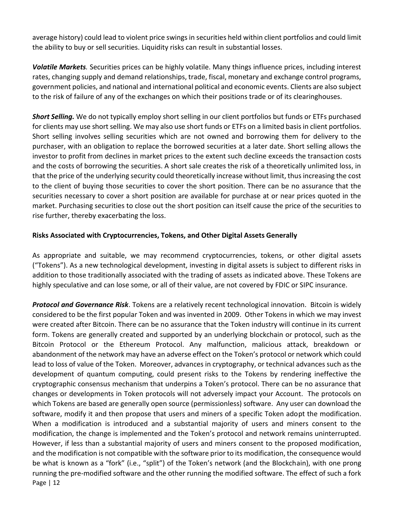average history) could lead to violent price swings in securities held within client portfolios and could limit the ability to buy or sell securities. Liquidity risks can result in substantial losses.

*Volatile Markets.* Securities prices can be highly volatile. Many things influence prices, including interest rates, changing supply and demand relationships, trade, fiscal, monetary and exchange control programs, government policies, and national and international political and economic events. Clients are also subject to the risk of failure of any of the exchanges on which their positions trade or of its clearinghouses.

*Short Selling.* We do not typically employ short selling in our client portfolios but funds or ETFs purchased for clients may use short selling. We may also use short funds or ETFs on a limited basis in client portfolios. Short selling involves selling securities which are not owned and borrowing them for delivery to the purchaser, with an obligation to replace the borrowed securities at a later date. Short selling allows the investor to profit from declines in market prices to the extent such decline exceeds the transaction costs and the costs of borrowing the securities. A short sale creates the risk of a theoretically unlimited loss, in that the price of the underlying security could theoretically increase without limit, thus increasing the cost to the client of buying those securities to cover the short position. There can be no assurance that the securities necessary to cover a short position are available for purchase at or near prices quoted in the market. Purchasing securities to close out the short position can itself cause the price of the securities to rise further, thereby exacerbating the loss.

### **Risks Associated with Cryptocurrencies, Tokens, and Other Digital Assets Generally**

As appropriate and suitable, we may recommend cryptocurrencies, tokens, or other digital assets ("Tokens"). As a new technological development, investing in digital assets is subject to different risks in addition to those traditionally associated with the trading of assets as indicated above. These Tokens are highly speculative and can lose some, or all of their value, are not covered by FDIC or SIPC insurance.

Page | 12 *Protocol and Governance Risk*. Tokens are a relatively recent technological innovation. Bitcoin is widely considered to be the first popular Token and was invented in 2009. Other Tokens in which we may invest were created after Bitcoin. There can be no assurance that the Token industry will continue in its current form. Tokens are generally created and supported by an underlying blockchain or protocol, such as the Bitcoin Protocol or the Ethereum Protocol. Any malfunction, malicious attack, breakdown or abandonment of the network may have an adverse effect on the Token's protocol or network which could lead to loss of value of the Token. Moreover, advances in cryptography, or technical advances such as the development of quantum computing, could present risks to the Tokens by rendering ineffective the cryptographic consensus mechanism that underpins a Token's protocol. There can be no assurance that changes or developments in Token protocols will not adversely impact your Account. The protocols on which Tokens are based are generally open source (permissionless) software. Any user can download the software, modify it and then propose that users and miners of a specific Token adopt the modification. When a modification is introduced and a substantial majority of users and miners consent to the modification, the change is implemented and the Token's protocol and network remains uninterrupted. However, if less than a substantial majority of users and miners consent to the proposed modification, and the modification is not compatible with the software prior to its modification, the consequence would be what is known as a "fork" (i.e., "split") of the Token's network (and the Blockchain), with one prong running the pre-modified software and the other running the modified software. The effect of such a fork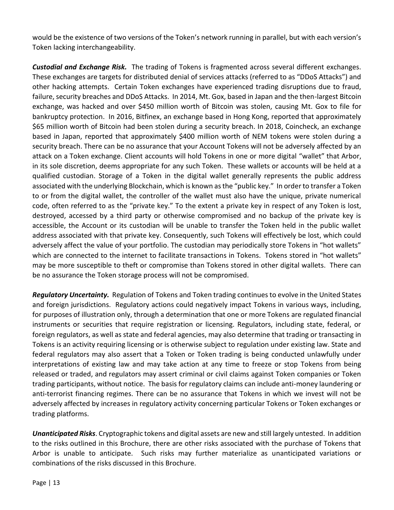would be the existence of two versions of the Token's network running in parallel, but with each version's Token lacking interchangeability.

*Custodial and Exchange Risk.* The trading of Tokens is fragmented across several different exchanges. These exchanges are targets for distributed denial of services attacks (referred to as "DDoS Attacks") and other hacking attempts. Certain Token exchanges have experienced trading disruptions due to fraud, failure, security breaches and DDoS Attacks. In 2014, Mt. Gox, based in Japan and the then-largest Bitcoin exchange, was hacked and over \$450 million worth of Bitcoin was stolen, causing Mt. Gox to file for bankruptcy protection. In 2016, Bitfinex, an exchange based in Hong Kong, reported that approximately \$65 million worth of Bitcoin had been stolen during a security breach. In 2018, Coincheck, an exchange based in Japan, reported that approximately \$400 million worth of NEM tokens were stolen during a security breach. There can be no assurance that your Account Tokens will not be adversely affected by an attack on a Token exchange. Client accounts will hold Tokens in one or more digital "wallet" that Arbor, in its sole discretion, deems appropriate for any such Token. These wallets or accounts will be held at a qualified custodian. Storage of a Token in the digital wallet generally represents the public address associated with the underlying Blockchain, which is known as the "public key." In order to transfer a Token to or from the digital wallet, the controller of the wallet must also have the unique, private numerical code, often referred to as the "private key." To the extent a private key in respect of any Token is lost, destroyed, accessed by a third party or otherwise compromised and no backup of the private key is accessible, the Account or its custodian will be unable to transfer the Token held in the public wallet address associated with that private key. Consequently, such Tokens will effectively be lost, which could adversely affect the value of your portfolio. The custodian may periodically store Tokens in "hot wallets" which are connected to the internet to facilitate transactions in Tokens. Tokens stored in "hot wallets" may be more susceptible to theft or compromise than Tokens stored in other digital wallets. There can be no assurance the Token storage process will not be compromised.

*Regulatory Uncertainty.* Regulation of Tokens and Token trading continues to evolve in the United States and foreign jurisdictions. Regulatory actions could negatively impact Tokens in various ways, including, for purposes of illustration only, through a determination that one or more Tokens are regulated financial instruments or securities that require registration or licensing. Regulators, including state, federal, or foreign regulators, as well as state and federal agencies, may also determine that trading or transacting in Tokens is an activity requiring licensing or is otherwise subject to regulation under existing law. State and federal regulators may also assert that a Token or Token trading is being conducted unlawfully under interpretations of existing law and may take action at any time to freeze or stop Tokens from being released or traded, and regulators may assert criminal or civil claims against Token companies or Token trading participants, without notice. The basis for regulatory claims can include anti-money laundering or anti-terrorist financing regimes. There can be no assurance that Tokens in which we invest will not be adversely affected by increases in regulatory activity concerning particular Tokens or Token exchanges or trading platforms.

*Unanticipated Risks*. Cryptographic tokens and digital assets are new and still largely untested. In addition to the risks outlined in this Brochure, there are other risks associated with the purchase of Tokens that Arbor is unable to anticipate. Such risks may further materialize as unanticipated variations or combinations of the risks discussed in this Brochure.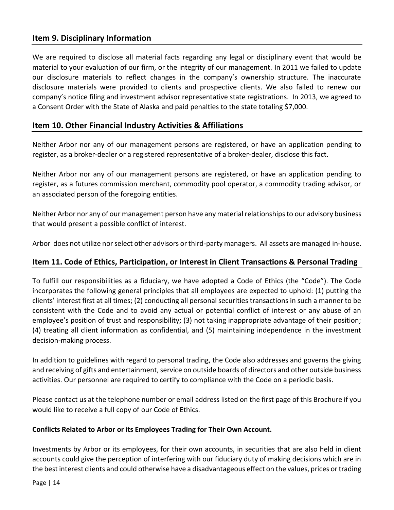## <span id="page-13-0"></span>**Item 9. Disciplinary Information**

We are required to disclose all material facts regarding any legal or disciplinary event that would be material to your evaluation of our firm, or the integrity of our management. In 2011 we failed to update our disclosure materials to reflect changes in the company's ownership structure. The inaccurate disclosure materials were provided to clients and prospective clients. We also failed to renew our company's notice filing and investment advisor representative state registrations. In 2013, we agreed to a Consent Order with the State of Alaska and paid penalties to the state totaling \$7,000.

### <span id="page-13-1"></span>**Item 10. Other Financial Industry Activities & Affiliations**

Neither Arbor nor any of our management persons are registered, or have an application pending to register, as a broker-dealer or a registered representative of a broker-dealer, disclose this fact.

Neither Arbor nor any of our management persons are registered, or have an application pending to register, as a futures commission merchant, commodity pool operator, a commodity trading advisor, or an associated person of the foregoing entities.

Neither Arbor nor any of our management person have any material relationships to our advisory business that would present a possible conflict of interest.

Arbor does not utilize nor select other advisors or third-party managers. All assets are managed in-house.

## <span id="page-13-2"></span>**Item 11. Code of Ethics, Participation, or Interest in Client Transactions & Personal Trading**

To fulfill our responsibilities as a fiduciary, we have adopted a Code of Ethics (the "Code"). The Code incorporates the following general principles that all employees are expected to uphold: (1) putting the clients' interest first at all times; (2) conducting all personal securities transactions in such a manner to be consistent with the Code and to avoid any actual or potential conflict of interest or any abuse of an employee's position of trust and responsibility; (3) not taking inappropriate advantage of their position; (4) treating all client information as confidential, and (5) maintaining independence in the investment decision-making process.

In addition to guidelines with regard to personal trading, the Code also addresses and governs the giving and receiving of gifts and entertainment, service on outside boards of directors and other outside business activities. Our personnel are required to certify to compliance with the Code on a periodic basis.

Please contact us at the telephone number or email address listed on the first page of this Brochure if you would like to receive a full copy of our Code of Ethics.

#### **Conflicts Related to Arbor or its Employees Trading for Their Own Account.**

Investments by Arbor or its employees, for their own accounts, in securities that are also held in client accounts could give the perception of interfering with our fiduciary duty of making decisions which are in the best interest clients and could otherwise have a disadvantageous effect on the values, prices or trading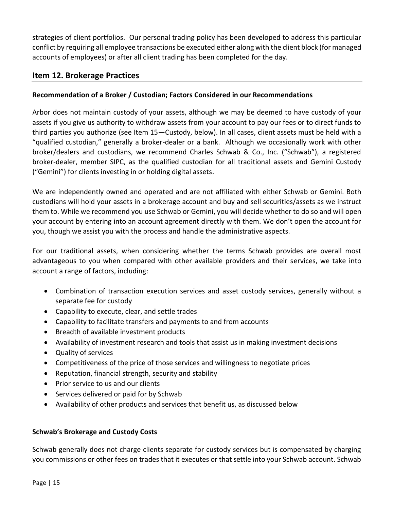strategies of client portfolios. Our personal trading policy has been developed to address this particular conflict by requiring all employee transactions be executed either along with the client block (for managed accounts of employees) or after all client trading has been completed for the day.

# <span id="page-14-0"></span>**Item 12. Brokerage Practices**

### **Recommendation of a Broker / Custodian; Factors Considered in our Recommendations**

Arbor does not maintain custody of your assets, although we may be deemed to have custody of your assets if you give us authority to withdraw assets from your account to pay our fees or to direct funds to third parties you authorize (see Item 15—Custody, below). In all cases, client assets must be held with a "qualified custodian," generally a broker-dealer or a bank. Although we occasionally work with other broker/dealers and custodians, we recommend Charles Schwab & Co., Inc. ("Schwab"), a registered broker-dealer, member SIPC, as the qualified custodian for all traditional assets and Gemini Custody ("Gemini") for clients investing in or holding digital assets.

We are independently owned and operated and are not affiliated with either Schwab or Gemini. Both custodians will hold your assets in a brokerage account and buy and sell securities/assets as we instruct them to. While we recommend you use Schwab or Gemini, you will decide whether to do so and will open your account by entering into an account agreement directly with them. We don't open the account for you, though we assist you with the process and handle the administrative aspects.

For our traditional assets, when considering whether the terms Schwab provides are overall most advantageous to you when compared with other available providers and their services, we take into account a range of factors, including:

- Combination of transaction execution services and asset custody services, generally without a separate fee for custody
- Capability to execute, clear, and settle trades
- Capability to facilitate transfers and payments to and from accounts
- Breadth of available investment products
- Availability of investment research and tools that assist us in making investment decisions
- Quality of services
- Competitiveness of the price of those services and willingness to negotiate prices
- Reputation, financial strength, security and stability
- Prior service to us and our clients
- Services delivered or paid for by Schwab
- Availability of other products and services that benefit us, as discussed below

### **Schwab's Brokerage and Custody Costs**

Schwab generally does not charge clients separate for custody services but is compensated by charging you commissions or other fees on trades that it executes or that settle into your Schwab account. Schwab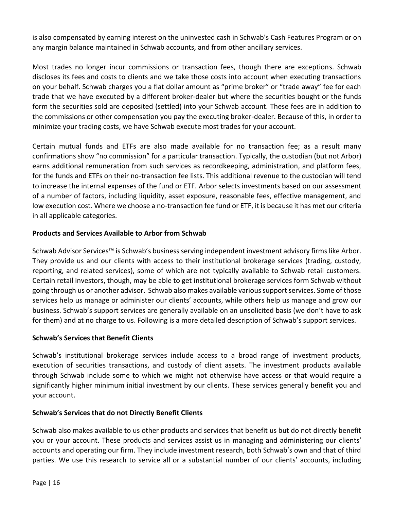is also compensated by earning interest on the uninvested cash in Schwab's Cash Features Program or on any margin balance maintained in Schwab accounts, and from other ancillary services.

Most trades no longer incur commissions or transaction fees, though there are exceptions. Schwab discloses its fees and costs to clients and we take those costs into account when executing transactions on your behalf. Schwab charges you a flat dollar amount as "prime broker" or "trade away" fee for each trade that we have executed by a different broker-dealer but where the securities bought or the funds form the securities sold are deposited (settled) into your Schwab account. These fees are in addition to the commissions or other compensation you pay the executing broker-dealer. Because of this, in order to minimize your trading costs, we have Schwab execute most trades for your account.

Certain mutual funds and ETFs are also made available for no transaction fee; as a result many confirmations show "no commission" for a particular transaction. Typically, the custodian (but not Arbor) earns additional remuneration from such services as recordkeeping, administration, and platform fees, for the funds and ETFs on their no-transaction fee lists. This additional revenue to the custodian will tend to increase the internal expenses of the fund or ETF. Arbor selects investments based on our assessment of a number of factors, including liquidity, asset exposure, reasonable fees, effective management, and low execution cost. Where we choose a no-transaction fee fund or ETF, it is because it has met our criteria in all applicable categories.

### **Products and Services Available to Arbor from Schwab**

Schwab Advisor Services™ is Schwab's business serving independent investment advisory firms like Arbor. They provide us and our clients with access to their institutional brokerage services (trading, custody, reporting, and related services), some of which are not typically available to Schwab retail customers. Certain retail investors, though, may be able to get institutional brokerage services form Schwab without going through us or another advisor. Schwab also makes available various support services. Some of those services help us manage or administer our clients' accounts, while others help us manage and grow our business. Schwab's support services are generally available on an unsolicited basis (we don't have to ask for them) and at no charge to us. Following is a more detailed description of Schwab's support services.

### **Schwab's Services that Benefit Clients**

Schwab's institutional brokerage services include access to a broad range of investment products, execution of securities transactions, and custody of client assets. The investment products available through Schwab include some to which we might not otherwise have access or that would require a significantly higher minimum initial investment by our clients. These services generally benefit you and your account.

### **Schwab's Services that do not Directly Benefit Clients**

Schwab also makes available to us other products and services that benefit us but do not directly benefit you or your account. These products and services assist us in managing and administering our clients' accounts and operating our firm. They include investment research, both Schwab's own and that of third parties. We use this research to service all or a substantial number of our clients' accounts, including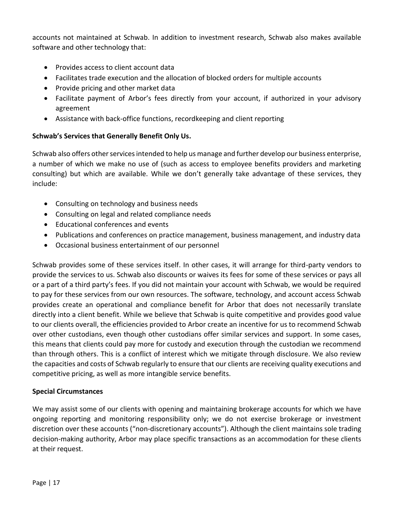accounts not maintained at Schwab. In addition to investment research, Schwab also makes available software and other technology that:

- Provides access to client account data
- Facilitates trade execution and the allocation of blocked orders for multiple accounts
- Provide pricing and other market data
- Facilitate payment of Arbor's fees directly from your account, if authorized in your advisory agreement
- Assistance with back-office functions, recordkeeping and client reporting

### **Schwab's Services that Generally Benefit Only Us.**

Schwab also offers other services intended to help us manage and further develop our business enterprise, a number of which we make no use of (such as access to employee benefits providers and marketing consulting) but which are available. While we don't generally take advantage of these services, they include:

- Consulting on technology and business needs
- Consulting on legal and related compliance needs
- Educational conferences and events
- Publications and conferences on practice management, business management, and industry data
- Occasional business entertainment of our personnel

Schwab provides some of these services itself. In other cases, it will arrange for third-party vendors to provide the services to us. Schwab also discounts or waives its fees for some of these services or pays all or a part of a third party's fees. If you did not maintain your account with Schwab, we would be required to pay for these services from our own resources. The software, technology, and account access Schwab provides create an operational and compliance benefit for Arbor that does not necessarily translate directly into a client benefit. While we believe that Schwab is quite competitive and provides good value to our clients overall, the efficiencies provided to Arbor create an incentive for us to recommend Schwab over other custodians, even though other custodians offer similar services and support. In some cases, this means that clients could pay more for custody and execution through the custodian we recommend than through others. This is a conflict of interest which we mitigate through disclosure. We also review the capacities and costs of Schwab regularly to ensure that our clients are receiving quality executions and competitive pricing, as well as more intangible service benefits.

### **Special Circumstances**

We may assist some of our clients with opening and maintaining brokerage accounts for which we have ongoing reporting and monitoring responsibility only; we do not exercise brokerage or investment discretion over these accounts ("non-discretionary accounts"). Although the client maintains sole trading decision-making authority, Arbor may place specific transactions as an accommodation for these clients at their request.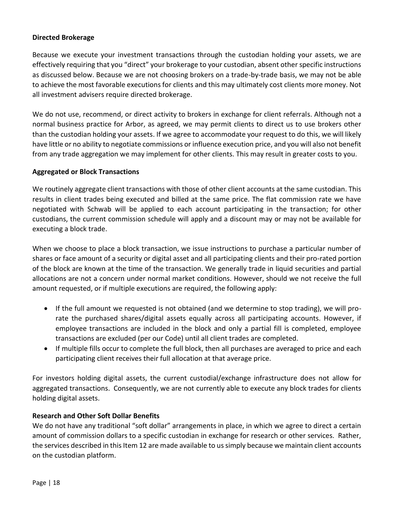#### **Directed Brokerage**

Because we execute your investment transactions through the custodian holding your assets, we are effectively requiring that you "direct" your brokerage to your custodian, absent other specific instructions as discussed below. Because we are not choosing brokers on a trade-by-trade basis, we may not be able to achieve the most favorable executions for clients and this may ultimately cost clients more money. Not all investment advisers require directed brokerage.

We do not use, recommend, or direct activity to brokers in exchange for client referrals. Although not a normal business practice for Arbor, as agreed, we may permit clients to direct us to use brokers other than the custodian holding your assets. If we agree to accommodate your request to do this, we will likely have little or no ability to negotiate commissions or influence execution price, and you will also not benefit from any trade aggregation we may implement for other clients. This may result in greater costs to you.

#### **Aggregated or Block Transactions**

We routinely aggregate client transactions with those of other client accounts at the same custodian. This results in client trades being executed and billed at the same price. The flat commission rate we have negotiated with Schwab will be applied to each account participating in the transaction; for other custodians, the current commission schedule will apply and a discount may or may not be available for executing a block trade.

When we choose to place a block transaction, we issue instructions to purchase a particular number of shares or face amount of a security or digital asset and all participating clients and their pro-rated portion of the block are known at the time of the transaction. We generally trade in liquid securities and partial allocations are not a concern under normal market conditions. However, should we not receive the full amount requested, or if multiple executions are required, the following apply:

- If the full amount we requested is not obtained (and we determine to stop trading), we will prorate the purchased shares/digital assets equally across all participating accounts. However, if employee transactions are included in the block and only a partial fill is completed, employee transactions are excluded (per our Code) until all client trades are completed.
- If multiple fills occur to complete the full block, then all purchases are averaged to price and each participating client receives their full allocation at that average price.

For investors holding digital assets, the current custodial/exchange infrastructure does not allow for aggregated transactions. Consequently, we are not currently able to execute any block trades for clients holding digital assets.

### **Research and Other Soft Dollar Benefits**

We do not have any traditional "soft dollar" arrangements in place, in which we agree to direct a certain amount of commission dollars to a specific custodian in exchange for research or other services. Rather, the services described in this Item 12 are made available to us simply because we maintain client accounts on the custodian platform.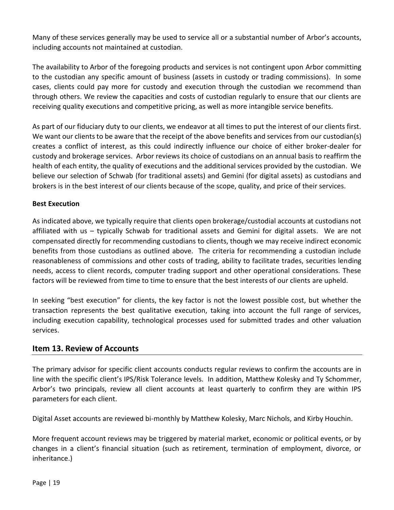Many of these services generally may be used to service all or a substantial number of Arbor's accounts, including accounts not maintained at custodian.

The availability to Arbor of the foregoing products and services is not contingent upon Arbor committing to the custodian any specific amount of business (assets in custody or trading commissions). In some cases, clients could pay more for custody and execution through the custodian we recommend than through others. We review the capacities and costs of custodian regularly to ensure that our clients are receiving quality executions and competitive pricing, as well as more intangible service benefits.

As part of our fiduciary duty to our clients, we endeavor at all times to put the interest of our clients first. We want our clients to be aware that the receipt of the above benefits and services from our custodian(s) creates a conflict of interest, as this could indirectly influence our choice of either broker-dealer for custody and brokerage services. Arbor reviews its choice of custodians on an annual basis to reaffirm the health of each entity, the quality of executions and the additional services provided by the custodian. We believe our selection of Schwab (for traditional assets) and Gemini (for digital assets) as custodians and brokers is in the best interest of our clients because of the scope, quality, and price of their services.

### **Best Execution**

As indicated above, we typically require that clients open brokerage/custodial accounts at custodians not affiliated with us – typically Schwab for traditional assets and Gemini for digital assets. We are not compensated directly for recommending custodians to clients, though we may receive indirect economic benefits from those custodians as outlined above. The criteria for recommending a custodian include reasonableness of commissions and other costs of trading, ability to facilitate trades, securities lending needs, access to client records, computer trading support and other operational considerations. These factors will be reviewed from time to time to ensure that the best interests of our clients are upheld.

In seeking "best execution" for clients, the key factor is not the lowest possible cost, but whether the transaction represents the best qualitative execution, taking into account the full range of services, including execution capability, technological processes used for submitted trades and other valuation services.

## <span id="page-18-0"></span>**Item 13. Review of Accounts**

The primary advisor for specific client accounts conducts regular reviews to confirm the accounts are in line with the specific client's IPS/Risk Tolerance levels. In addition, Matthew Kolesky and Ty Schommer, Arbor's two principals, review all client accounts at least quarterly to confirm they are within IPS parameters for each client.

Digital Asset accounts are reviewed bi-monthly by Matthew Kolesky, Marc Nichols, and Kirby Houchin.

More frequent account reviews may be triggered by material market, economic or political events, or by changes in a client's financial situation (such as retirement, termination of employment, divorce, or inheritance.)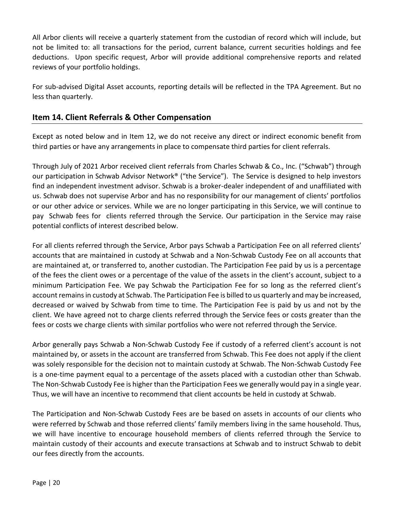All Arbor clients will receive a quarterly statement from the custodian of record which will include, but not be limited to: all transactions for the period, current balance, current securities holdings and fee deductions. Upon specific request, Arbor will provide additional comprehensive reports and related reviews of your portfolio holdings.

For sub-advised Digital Asset accounts, reporting details will be reflected in the TPA Agreement. But no less than quarterly.

# <span id="page-19-0"></span>**Item 14. Client Referrals & Other Compensation**

Except as noted below and in Item 12, we do not receive any direct or indirect economic benefit from third parties or have any arrangements in place to compensate third parties for client referrals.

Through July of 2021 Arbor received client referrals from Charles Schwab & Co., Inc. ("Schwab") through our participation in Schwab Advisor Network® ("the Service"). The Service is designed to help investors find an independent investment advisor. Schwab is a broker-dealer independent of and unaffiliated with us. Schwab does not supervise Arbor and has no responsibility for our management of clients' portfolios or our other advice or services. While we are no longer participating in this Service, we will continue to pay Schwab fees for clients referred through the Service. Our participation in the Service may raise potential conflicts of interest described below.

For all clients referred through the Service, Arbor pays Schwab a Participation Fee on all referred clients' accounts that are maintained in custody at Schwab and a Non-Schwab Custody Fee on all accounts that are maintained at, or transferred to, another custodian. The Participation Fee paid by us is a percentage of the fees the client owes or a percentage of the value of the assets in the client's account, subject to a minimum Participation Fee. We pay Schwab the Participation Fee for so long as the referred client's account remains in custody at Schwab. The Participation Fee is billed to us quarterly and may be increased, decreased or waived by Schwab from time to time. The Participation Fee is paid by us and not by the client. We have agreed not to charge clients referred through the Service fees or costs greater than the fees or costs we charge clients with similar portfolios who were not referred through the Service.

Arbor generally pays Schwab a Non-Schwab Custody Fee if custody of a referred client's account is not maintained by, or assets in the account are transferred from Schwab. This Fee does not apply if the client was solely responsible for the decision not to maintain custody at Schwab. The Non-Schwab Custody Fee is a one-time payment equal to a percentage of the assets placed with a custodian other than Schwab. The Non-Schwab Custody Fee is higher than the Participation Fees we generally would pay in a single year. Thus, we will have an incentive to recommend that client accounts be held in custody at Schwab.

The Participation and Non-Schwab Custody Fees are be based on assets in accounts of our clients who were referred by Schwab and those referred clients' family members living in the same household. Thus, we will have incentive to encourage household members of clients referred through the Service to maintain custody of their accounts and execute transactions at Schwab and to instruct Schwab to debit our fees directly from the accounts.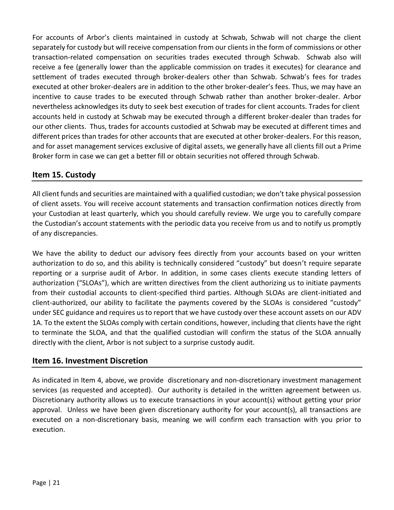For accounts of Arbor's clients maintained in custody at Schwab, Schwab will not charge the client separately for custody but will receive compensation from our clients in the form of commissions or other transaction-related compensation on securities trades executed through Schwab. Schwab also will receive a fee (generally lower than the applicable commission on trades it executes) for clearance and settlement of trades executed through broker-dealers other than Schwab. Schwab's fees for trades executed at other broker-dealers are in addition to the other broker-dealer's fees. Thus, we may have an incentive to cause trades to be executed through Schwab rather than another broker-dealer. Arbor nevertheless acknowledges its duty to seek best execution of trades for client accounts. Trades for client accounts held in custody at Schwab may be executed through a different broker-dealer than trades for our other clients. Thus, trades for accounts custodied at Schwab may be executed at different times and different prices than trades for other accounts that are executed at other broker-dealers. For this reason, and for asset management services exclusive of digital assets, we generally have all clients fill out a Prime Broker form in case we can get a better fill or obtain securities not offered through Schwab.

# <span id="page-20-0"></span>**Item 15. Custody**

All client funds and securities are maintained with a qualified custodian; we don't take physical possession of client assets. You will receive account statements and transaction confirmation notices directly from your Custodian at least quarterly, which you should carefully review. We urge you to carefully compare the Custodian's account statements with the periodic data you receive from us and to notify us promptly of any discrepancies.

We have the ability to deduct our advisory fees directly from your accounts based on your written authorization to do so, and this ability is technically considered "custody" but doesn't require separate reporting or a surprise audit of Arbor. In addition, in some cases clients execute standing letters of authorization ("SLOAs"), which are written directives from the client authorizing us to initiate payments from their custodial accounts to client-specified third parties. Although SLOAs are client-initiated and client-authorized, our ability to facilitate the payments covered by the SLOAs is considered "custody" under SEC guidance and requires us to report that we have custody over these account assets on our ADV 1A. To the extent the SLOAs comply with certain conditions, however, including that clients have the right to terminate the SLOA, and that the qualified custodian will confirm the status of the SLOA annually directly with the client, Arbor is not subject to a surprise custody audit.

## <span id="page-20-1"></span>**Item 16. Investment Discretion**

As indicated in Item 4, above, we provide discretionary and non-discretionary investment management services (as requested and accepted). Our authority is detailed in the written agreement between us. Discretionary authority allows us to execute transactions in your account(s) without getting your prior approval. Unless we have been given discretionary authority for your account(s), all transactions are executed on a non-discretionary basis, meaning we will confirm each transaction with you prior to execution.